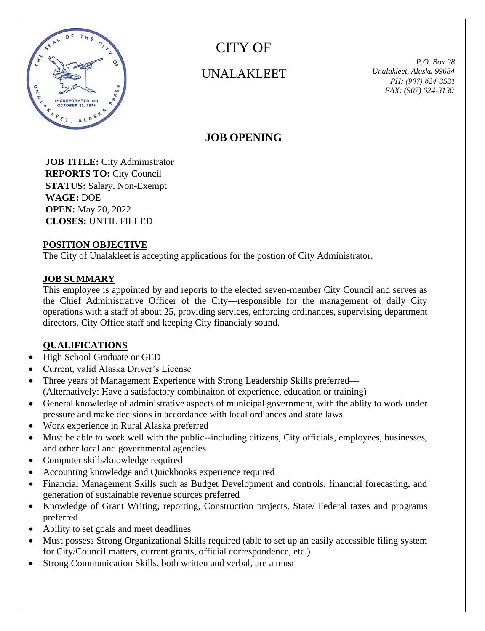

CITY OF

# UNALAKLEET *Unalakleet, Alaska <sup>99684</sup>*

 *P.O. Box 28 PН: (907) 624-3531 FAX: (907) 624-3130*

# **JOB OPENING**

 **JOB TITLE:** City Administrator  **REPORTS TO:** City Council  **STATUS:** Salary, Non-Exempt  **WAGE:** DOE  **OPEN:** May 20, 2022  **CLOSES:** UNTIL FILLED

#### **POSITION OBJECTIVE**

The City of Unalakleet is accepting applications for the postion of City Administrator.

#### **JOB SUMMARY**

This employee is appointed by and reports to the elected seven-member City Council and serves as the Chief Administrative Officer of the City—responsible for the management of daily City operations with a staff of about 25, providing services, enforcing ordinances, supervising department directors, City Office staff and keeping City financialy sound.

## **QUALIFICATIONS**

- High School Graduate or GED
- Current, valid Alaska Driver's License
- Three years of Management Experience with Strong Leadership Skills preferred— (Alternatively: Have a satisfactory combinaiton of experience, education or training)
- General knowledge of administrative aspects of municipal government, with the ablity to work under pressure and make decisions in accordance with local ordiances and state laws
- Work experience in Rural Alaska preferred
- Must be able to work well with the public--including citizens, City officials, employees, businesses, and other local and governmental agencies
- Computer skills/knowledge required
- Accounting knowledge and Quickbooks experience required
- Financial Management Skills such as Budget Development and controls, financial forecasting, and generation of sustainable revenue sources preferred
- Knowledge of Grant Writing, reporting, Construction projects, State/ Federal taxes and programs preferred
- Ability to set goals and meet deadlines
- Must possess Strong Organizational Skills required (able to set up an easily accessible filing system for City/Council matters, current grants, official correspondence, etc.)
- Strong Communication Skills, both written and verbal, are a must